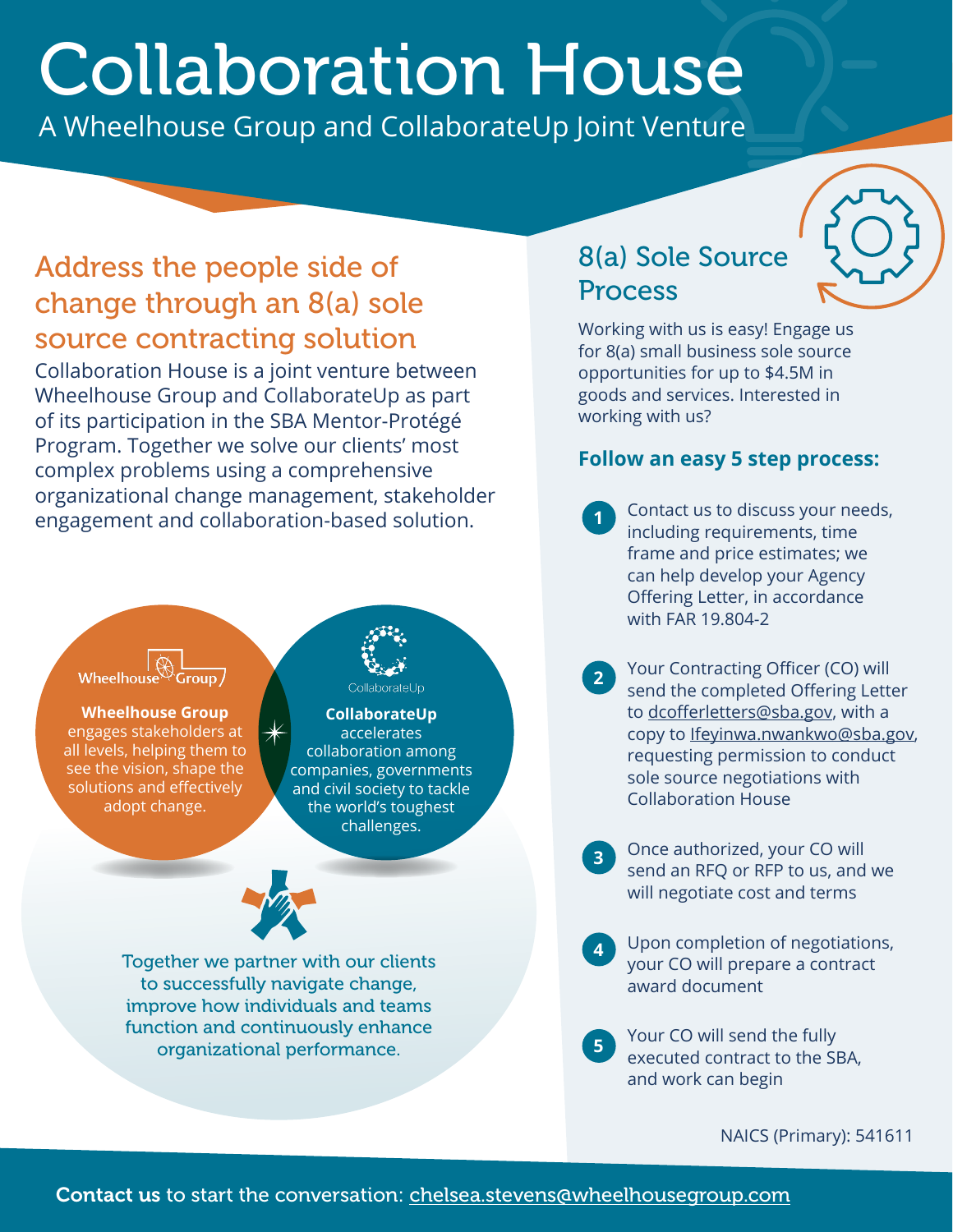# Collaboration House

A Wheelhouse Group and CollaborateUp Joint Venture

## Address the people side of change through an 8(a) sole source contracting solution

Collaboration House is a joint venture between Wheelhouse Group and CollaborateUp as part of its participation in the SBA Mentor-Protégé Program. Together we solve our clients' most complex problems using a comprehensive organizational change management, stakeholder engagement and collaboration-based solution.

# Wheelhouse

**Wheelhouse Group** engages stakeholders at all levels, helping them to see the vision, shape the solutions and effectively adopt change.

#### CollaborateUp **CollaborateUp**

accelerates collaboration among companies, governments and civil society to tackle the world's toughest challenges.



Together we partner with our clients to successfully navigate change, improve how individuals and teams function and continuously enhance organizational performance.

# 8(a) Sole Source Process

Working with us is easy! Engage us for 8(a) small business sole source opportunities for up to \$4.5M in goods and services. Interested in working with us?

#### **Follow an easy 5 step process:**

- Contact us to discuss your needs, including requirements, time frame and price estimates; we can help develop your Agency Offering Letter, in accordance with FAR 19.804-2 **1**
- Your Contracting Officer (CO) will send the completed Offering Letter to [dcofferletters@sba.gov](mailto:dcofferletters@sba.gov), with a copy to *[Ifeyinwa.nwankwo@sba.gov](mailto:Ifeyinwa.nwankwo@sba.gov),* requesting permission to conduct sole source negotiations with Collaboration House **2**
- Once authorized, your CO will send an RFQ or RFP to us, and we will negotiate cost and terms **3**
- Upon completion of negotiations, your CO will prepare a contract award document **4**
- Your CO will send the fully executed contract to the SBA, and work can begin **5**

NAICS (Primary): 541611